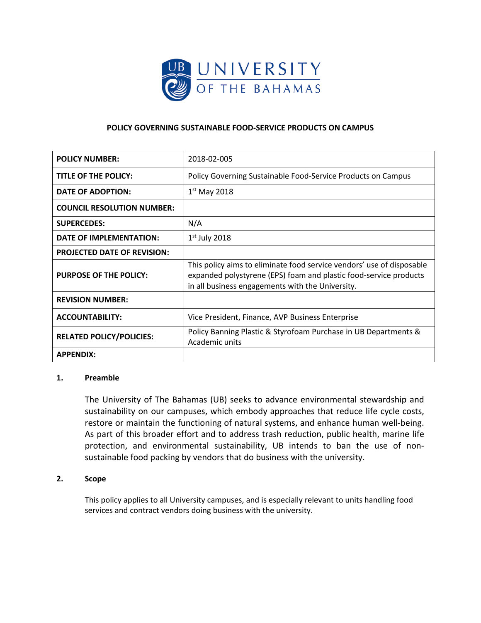

# **POLICY GOVERNING SUSTAINABLE FOOD-SERVICE PRODUCTS ON CAMPUS**

| <b>POLICY NUMBER:</b>              | 2018-02-005                                                                                                                                                                                    |
|------------------------------------|------------------------------------------------------------------------------------------------------------------------------------------------------------------------------------------------|
| TITLE OF THE POLICY:               | Policy Governing Sustainable Food-Service Products on Campus                                                                                                                                   |
| <b>DATE OF ADOPTION:</b>           | $1st$ May 2018                                                                                                                                                                                 |
| <b>COUNCIL RESOLUTION NUMBER:</b>  |                                                                                                                                                                                                |
| <b>SUPERCEDES:</b>                 | N/A                                                                                                                                                                                            |
| DATE OF IMPLEMENTATION:            | $1st$ July 2018                                                                                                                                                                                |
| <b>PROJECTED DATE OF REVISION:</b> |                                                                                                                                                                                                |
| <b>PURPOSE OF THE POLICY:</b>      | This policy aims to eliminate food service vendors' use of disposable<br>expanded polystyrene (EPS) foam and plastic food-service products<br>in all business engagements with the University. |
| <b>REVISION NUMBER:</b>            |                                                                                                                                                                                                |
| <b>ACCOUNTABILITY:</b>             | Vice President, Finance, AVP Business Enterprise                                                                                                                                               |
| <b>RELATED POLICY/POLICIES:</b>    | Policy Banning Plastic & Styrofoam Purchase in UB Departments &<br>Academic units                                                                                                              |
| <b>APPENDIX:</b>                   |                                                                                                                                                                                                |

### **1. Preamble**

The University of The Bahamas (UB) seeks to advance environmental stewardship and sustainability on our campuses, which embody approaches that reduce life cycle costs, restore or maintain the functioning of natural systems, and enhance human well-being. As part of this broader effort and to address trash reduction, public health, marine life protection, and environmental sustainability, UB intends to ban the use of nonsustainable food packing by vendors that do business with the university.

## **2. Scope**

This policy applies to all University campuses, and is especially relevant to units handling food services and contract vendors doing business with the university.